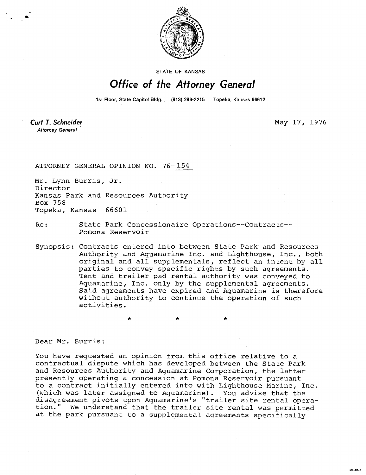

STATE OF KANSAS

## Office of the Attorney General

1st Floor, State Capitol Bldg. (913) 296-2215 Topeka, Kansas 66612

Curt T. Schneider **Attorney General** 

May 17, 1976

811-1043

ATTORNEY GENERAL OPINION NO. 76-154

Mr. Lynn Burris, Jr. Director Kansas Park and Resources Authority Box 758 Topeka, Kansas 66601

Re: State Park Concessionaire Operations--Contracts-- Pomona Reservoir

Synopsis: Contracts entered into between State Park and Resources Authority and Aquamarine Inc. and Lighthouse, Inc., both original and all supplementals, reflect an intent by all parties to convey specific rights by such agreements. Tent and trailer pad rental authority was conveyed to Aquamarine, Inc. only by the supplemental agreements. Said agreements have expired and Aquamarine is therefore without authority to continue the operation of such activities.

Dear Mr. Burris:

You have requested an opinion from this office relative to a contractual dispute which has developed between the State Park and Resources Authority and Aquamarine Corporation, the latter presently operating a concession at Pomona Reservoir pursuant to a contract initially entered into with Lighthouse Marine, Inc. (which was later assigned to Aquamarine). You advise that the disagreement pivots upon Aquamarine's "trailer site rental operation." We understand that the trailer site rental was permitted at the park pursuant to a supplemental agreements specifically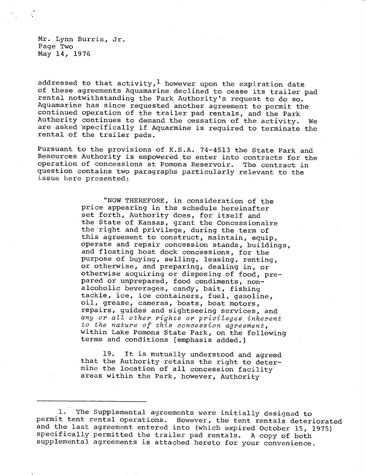Mr. Lynn Burris, Jr. Page Two May 14, 1976

addressed to that activity,<sup>1</sup> however upon the expiration date of these agreements Aquamarine declined to cease its trailer pad rental notwithstanding the Park Authority's request to do so. Aquamarine has since requested another agreement to permit the continued operation of the trailer pad rentals, and the Park Authority continues to demand the cessation of the activity. We are asked 'specifically if Aquarmine is required to terminate the rental of the trailer pads.

Pursuant to the provisions of K.S.A. 74-4513 the State Park and Resources Authority is empowered to enter into contracts for the operation of concessions at Pomona Reservoir. The contract in question contains two paragraphs particularly relevant to the issue here presented:

> "NOW THEREFORE, in consideration of the price appearing in the schedule hereinafter set forth, Authority does, for itself and the State of Kansas, grant the Concessionaire the right and privilege, during the term of this agreement to construct, maintain, equip, operate and repair concession stands, buildings, and floating boat dock concessions, for the purpose of buying, selling, leasing, renting, or otherwise, and preparing, dealing in, or otherwise acquiring or disposing of food, prepared or unprepared, food condiments, nonalcoholic beverages, candy, bait, fishing tackle, ice, ice containers, fuel, gasoline, oil, grease, cameras, boats, boat motors, repairs, guides and sightseeing services, and any or all other rights or privileges inherent to the nature of this concession agreement, within Lake Pomona State Park, on the following terms and conditions [emphasis added.]

19. It is mutually understood and agreed that the Authority retains the right to determine the location of all concession facility areas within the Park, however, Authority

<sup>1.</sup> The Supplemental agreements were initially designed to permit tent rental operations. However, the tent rentals deteriorated and the last agreement entered into (which expired October 15, 1975) specifically permitted the trailer pad rentals. A copy of both supplemental agreements is attached hereto for your convenience.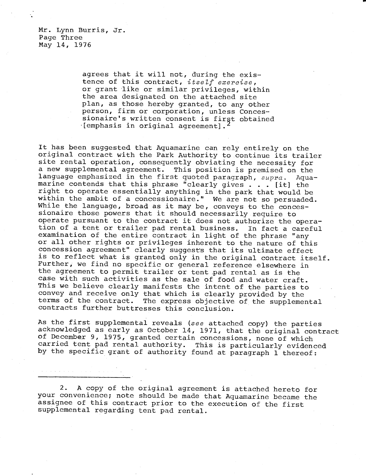Mr. Lynn Burris, Jr. Page Three May 14, 1976

 $\mathcal{A}$  , we can be considered as a set of  $\mathcal{A}$  , and

agrees that it will not, during the existence of this contract, itself exercise, or grant like or similar privileges, within the area designated on the attached site plan, as those hereby granted, to any other person, firm or corporation, unless Concessionaire's written consent is first obtained  $[emphasis in original agreement].$ 

It has been suggested that Aquamarine can rely entirely on the original contract with the Park Authority to continue its trailer site rental operation, consequently obviating the necessity for a new supplemental agreement. This position is premised on the language emphasized in the first quoted paragraph,  $supra$ . Aquamarine contends that this phrase "clearly gives . . . [it] the right to operate essentially anything in the park that would be within the ambit of a concessionaire." We are not so persuaded. While the language, broad as it may be, conveys to the concessionaire those powers that it should necessarily require to operate pursuant to the contract it does not authorize the operation of a tent or trailer pad rental business. In fact a careful examination of the entire contract in light of the phrase "any or all other rights or privileges inherent to the nature of this concession agreement" clearly suggests that its ultimate effect is to reflect what is granted only in the original contract itself. Further, we find no specific or general reference elsewhere in the agreement to permit trailer or tent pad rental as is the case with such activities as the sale of food and water craft. This we believe clearly manifests the intent of the parties to convey and receive only that which is clearly provided by the terms of the contract. The express objective of the supplemental contracts further buttresses this conclusion.

As the first supplemental reveals (see attached copy) the parties acknowledged as early as October 14, 1971, that the original contract of December 9, 1975, granted certain concessions, none of which carried tent pad rental authority. This is particularly evidenced by the specific grant of authority found at paragraph 1 thereof:

2. A copy of the original agreement is attached hereto for your convenience; note should be made that Aquamarine became the assignee of this contract prior to the execution of the first supplemental regarding tent pad rental.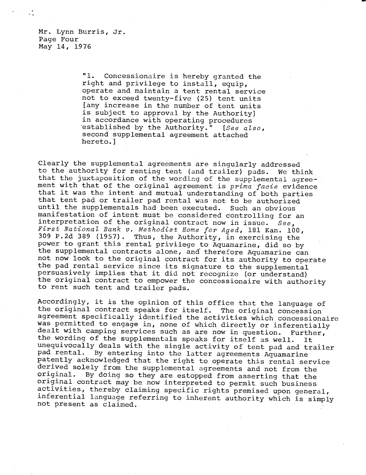Mr. Lynn Burris, Jr. Page Four May 14, 1976

> "1. Concessionaire is hereby granted the right and privilege to install, equip, operate and maintain a tent rental service not to exceed twenty-five (25) tent units [any increase in the number of tent units is subject to approval by the Authority] in accordance with operating procedures 'established by the Authority." [See also, second supplemental agreement attached hereto.]

Clearly the supplemental agreements are singularly addressed to the authority for renting tent (and trailer) pads. We think that the juxtaposition of the wording of the supplemental agreement with that of the original agreement is prima facie evidence that it was the intent and mutual understanding of both parties that tent pad or trailer pad rental was not to be authorized until the supplementals had been executed. Such an obvious manifestation of intent must be considered controlling for an interpretation of the original contract now in issue. See, First National Bank v. Methodist Home for Aged, 181 Kan. 100, 309 P.2d 389 (1957). Thus, the Authority, in exercising the power to grant this rental privilege to Aquamarine, did so by the supplemental contracts alone, and therefore Aquamarine can not now look to the original contract for its authority to operate the pad rental service since its signature to the supplemental persuasively implies that it did not recognize (or understand) the original contract to empower the concessionaire with authority to rent such tent and trailer pads.

Accordingly, it is the opinion of this office that the language of the original contract speaks for itself. The original concession agreement specifically identified the activities which concessionaire was permitted to engage in, none of which directly or inferentially dealt with camping services such as are now in question. Further, the wording of the supplementals speaks for itself as well. It unequivocally deals with the single activity of tent pad and trailer pad rental. By entering into the latter agreements Aquamarine patently acknowledged that the right to operate this rental service derived solely from the supplemental agreements and not from the<br>original. By doing so they are estonned from asserting that the By doing so they are estopped from asserting that the original contract may be now interpreted to permit such business activities, thereby claiming specific rights premised upon general, inferential language referring to inherent authority which is simply not present as claimed.